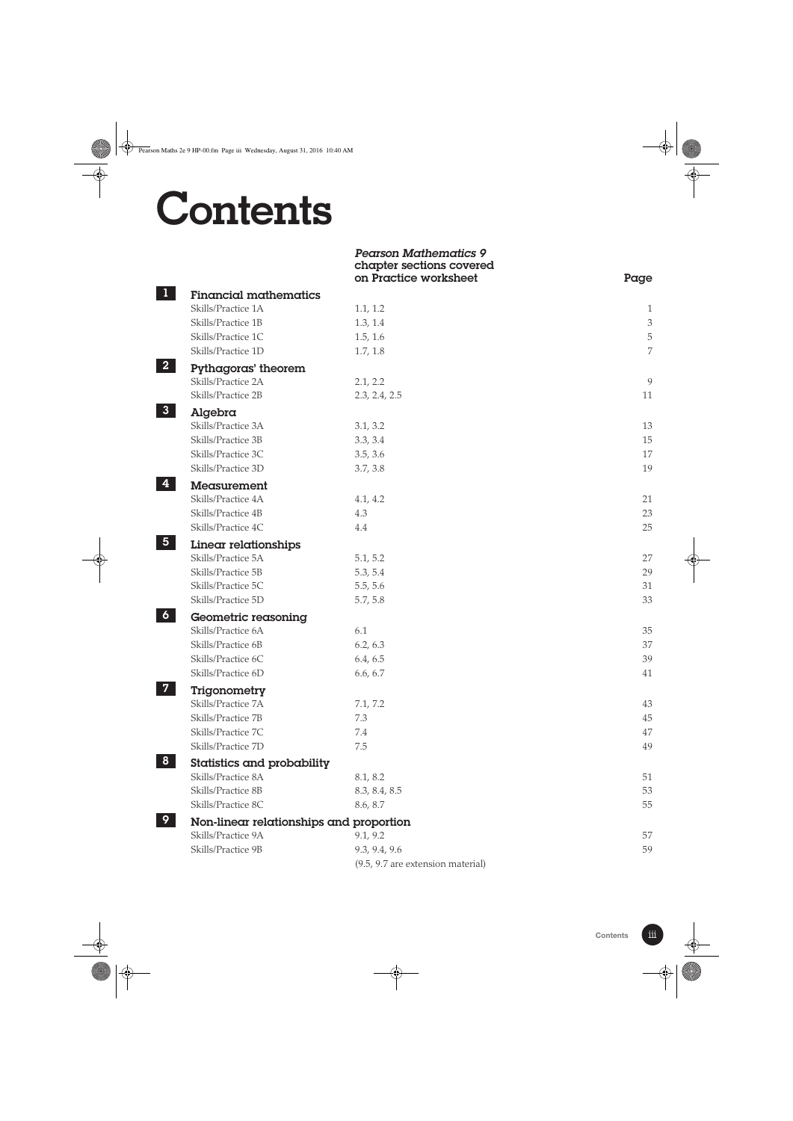## **Contents**

|                                                 | <b>Pearson Mathematics 9</b><br>chapter sections covered<br>on Practice worksheet | Page                        |
|-------------------------------------------------|-----------------------------------------------------------------------------------|-----------------------------|
| <b>Financial mathematics</b>                    |                                                                                   |                             |
| Skills/Practice 1A                              | 1.1, 1.2                                                                          | 1                           |
| Skills/Practice 1B                              | 1.3, 1.4                                                                          | $\ensuremath{\mathfrak{Z}}$ |
| Skills/Practice 1C                              | 1.5, 1.6                                                                          | $\mathbf 5$                 |
| Skills/Practice 1D                              | 1.7, 1.8                                                                          | 7                           |
| 2 <sup>1</sup><br>Pythagoras' theorem           |                                                                                   |                             |
| Skills/Practice 2A                              | 2.1, 2.2                                                                          | 9                           |
| Skills/Practice 2B                              | 2.3, 2.4, 2.5                                                                     | 11                          |
| 3 <sup>1</sup><br>Algebra                       |                                                                                   |                             |
| Skills/Practice 3A                              | 3.1, 3.2                                                                          | 13                          |
| Skills/Practice 3B                              | 3.3, 3.4                                                                          | 15                          |
| Skills/Practice 3C                              | 3.5, 3.6                                                                          | 17                          |
| Skills/Practice 3D                              | 3.7, 3.8                                                                          | 19                          |
| 4<br>Measurement                                |                                                                                   |                             |
| Skills/Practice 4A                              | 4.1, 4.2                                                                          | 21                          |
| Skills/Practice 4B                              | 4.3                                                                               | 23                          |
| Skills/Practice 4C                              | 4.4                                                                               | 25                          |
| $\overline{\mathbf{5}}$<br>Linear relationships |                                                                                   |                             |
| Skills/Practice 5A                              | 5.1, 5.2                                                                          | 27                          |
| Skills/Practice 5B                              | 5.3, 5.4                                                                          | 29                          |
| Skills/Practice 5C                              | 5.5, 5.6                                                                          | 31                          |
| Skills/Practice 5D                              | 5.7, 5.8                                                                          | 33                          |
| $\boldsymbol{6}$<br>Geometric reasoning         |                                                                                   |                             |
| Skills/Practice 6A                              | 6.1                                                                               | 35                          |
| Skills/Practice 6B                              | 6.2, 6.3                                                                          | 37                          |
| Skills/Practice 6C                              | 6.4, 6.5                                                                          | 39                          |
| Skills/Practice 6D                              | 6.6, 6.7                                                                          | 41                          |
| $\overline{7}$<br>Trigonometry                  |                                                                                   |                             |
| Skills/Practice 7A                              | 7.1, 7.2                                                                          | 43                          |
| Skills/Practice 7B                              | 7.3                                                                               | 45                          |
| Skills/Practice 7C                              | 7.4                                                                               | 47                          |
| Skills/Practice 7D                              | 7.5                                                                               | 49                          |
| 8 <sup>°</sup><br>Statistics and probability    |                                                                                   |                             |
| Skills/Practice 8A                              | 8.1, 8.2                                                                          | 51                          |
| Skills/Practice 8B                              | 8.3, 8.4, 8.5                                                                     | 53                          |
| Skills/Practice 8C                              | 8.6, 8.7                                                                          | 55                          |
| 9<br>Non-linear relationships and proportion    |                                                                                   |                             |
| Skills/Practice 9A                              | 9.1, 9.2                                                                          | 57                          |
| Skills/Practice 9B                              | 9.3, 9.4, 9.6                                                                     | 59                          |
|                                                 | (9.5, 9.7 are extension material)                                                 |                             |

iii